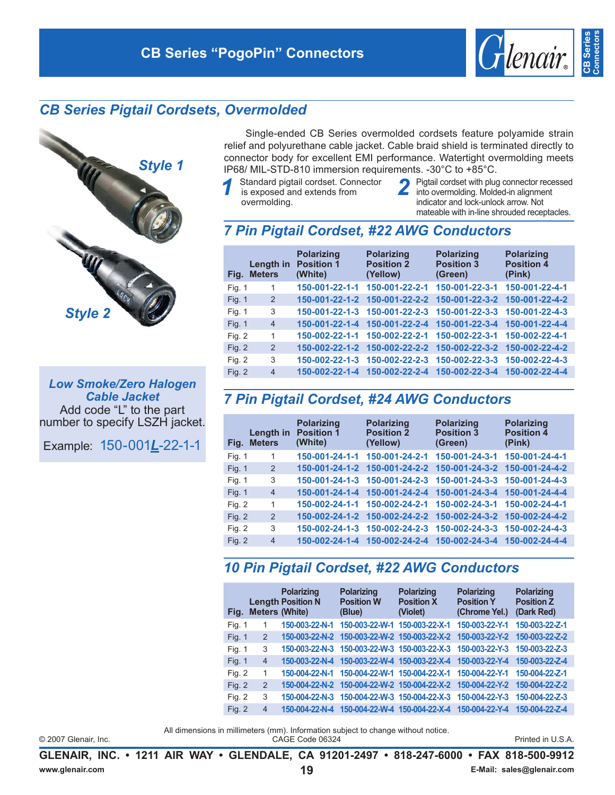



**Low Smoke/Zero Halogen Cable Jacket** Add code "L" to the part number to specify LSZH jacket.

Example: 150-001L-22-1-1

Single-ended CB Series overmolded cordsets feature polyamide strain relief and polyurethane cable jacket. Cable braid shield is terminated directly to connector body for excellent EMI performance. Watertight overmolding meets IP68/ MIL-STD-810 immersion requirements. -30°C to +85°C.

- Standard pigtail cordset. Connector is exposed and extends from overmolding.
- Pigtail cordset with plug connector recessed into overmolding. Molded-in alignment indicator and lock-unlock arrow. Not mateable with in-line shrouded receptacles.

*Glenair* 

**CB** Serie

#### 7 Pin Pigtail Cordset, #22 AWG Conductors

|          | Length in<br>Fig. Meters | <b>Polarizing</b><br><b>Position 1</b><br>(White) | <b>Polarizing</b><br><b>Position 2</b><br>(Yellow) | <b>Polarizing</b><br><b>Position 3</b><br>(Green) | <b>Polarizing</b><br><b>Position 4</b><br>(Pink) |
|----------|--------------------------|---------------------------------------------------|----------------------------------------------------|---------------------------------------------------|--------------------------------------------------|
| Fig. 1   | 1                        | 150-001-22-1-1                                    | 150-001-22-2-1                                     | 150-001-22-3-1                                    | 150-001-22-4-1                                   |
| Fig. 1   | 2                        |                                                   | 150-001-22-1-2 150-001-22-2-2                      | 150-001-22-3-2                                    | 150-001-22-4-2                                   |
| Fig. 1   | 3                        |                                                   | 150-001-22-1-3 150-001-22-2-3 150-001-22-3-3       |                                                   | 150-001-22-4-3                                   |
| Fig. 1   | $\overline{4}$           | 150-001-22-1-4                                    | 150-001-22-2-4                                     | 150-001-22-3-4                                    | 150-001-22-4-4                                   |
| Fig. 2   | 1                        |                                                   | 150-002-22-1-1 150-002-22-2-1                      | 150-002-22-3-1                                    | 150-002-22-4-1                                   |
| Fig. $2$ | 2                        | 150-002-22-1-2                                    | 150-002-22-2-2                                     | 150-002-22-3-2                                    | 150-002-22-4-2                                   |
| Fig. $2$ | 3                        | 150-002-22-1-3                                    | 150-002-22-2-3                                     | 150-002-22-3-3                                    | 150-002-22-4-3                                   |
| Fig. $2$ | $\overline{4}$           | 150-002-22-1-4                                    | 150-002-22-2-4                                     | 150-002-22-3-4                                    | 150-002-22-4-4                                   |

### 7 Pin Pigtail Cordset, #24 AWG Conductors

| Fig.          | Length in<br><b>Meters</b> | <b>Polarizing</b><br><b>Position 1</b><br>(White) | <b>Polarizing</b><br><b>Position 2</b><br>(Yellow) | <b>Polarizing</b><br><b>Position 3</b><br>(Green) | <b>Polarizing</b><br><b>Position 4</b><br>(Pink) |
|---------------|----------------------------|---------------------------------------------------|----------------------------------------------------|---------------------------------------------------|--------------------------------------------------|
| Fig. 1        | 1                          | 150-001-24-1-1                                    | 150-001-24-2-1                                     | 150-001-24-3-1                                    | 150-001-24-4-1                                   |
| <b>Fig. 1</b> | 2                          |                                                   | 150-001-24-1-2 150-001-24-2-2                      | 150-001-24-3-2                                    | 150-001-24-4-2                                   |
| Fig. 1        | 3                          |                                                   | 150-001-24-1-3 150-001-24-2-3                      | 150-001-24-3-3 150-001-24-4-3                     |                                                  |
| Fig. $1$      | $\overline{4}$             | 150-001-24-1-4                                    | 150-001-24-2-4                                     | 150-001-24-3-4                                    | 150-001-24-4-4                                   |
| Fig. 2        | 1                          | 150-002-24-1-1                                    | 150-002-24-2-1                                     | 150-002-24-3-1                                    | 150-002-24-4-1                                   |
| Fig. $2$      | $\overline{2}$             | 150-002-24-1-2                                    | 150-002-24-2-2                                     | 150-002-24-3-2                                    | 150-002-24-4-2                                   |
| Fig. 2        | 3                          | 150-002-24-1-3                                    | 150-002-24-2-3                                     | 150-002-24-3-3                                    | 150-002-24-4-3                                   |
| Fig. 2        | $\overline{4}$             | 150-002-24-1-4                                    | 150-002-24-2-4                                     | 150-002-24-3-4                                    | 150-002-24-4-4                                   |

### 10 Pin Pigtail Cordset, #22 AWG Conductors

|               |                | <b>Polarizing</b><br><b>Length Position N</b><br>Fig. Meters (White) | <b>Polarizing</b><br><b>Position W</b><br>(Blue) | <b>Polarizing</b><br><b>Position X</b><br>(Violet) | <b>Polarizing</b><br><b>Position Y</b><br>(Chrome Yel.) | <b>Polarizing</b><br><b>Position Z</b><br>(Dark Red) |
|---------------|----------------|----------------------------------------------------------------------|--------------------------------------------------|----------------------------------------------------|---------------------------------------------------------|------------------------------------------------------|
| Fig. 1        |                | 150-003-22-N-1                                                       | 150-003-22-W-1                                   | 150-003-22-X-1                                     | 150-003-22-Y-1                                          | 150-003-22-Z-1                                       |
| <b>Fig. 1</b> | 2              | 150-003-22-N-2                                                       | 150-003-22-W-2 150-003-22-X-2                    |                                                    | 150-003-22-Y-2                                          | 150-003-22-Z-2                                       |
| Fig. 1        | 3              | $150-003-22-N-3$                                                     | 150-003-22-W-3 150-003-22-X-3                    |                                                    | 150-003-22-Y-3                                          | 150-003-22-Z-3                                       |
| <b>Fig. 1</b> | $\overline{4}$ | 150-003-22-N-4                                                       | 150-003-22-W-4 150-003-22-X-4                    |                                                    | 150-003-22-Y-4                                          | 150-003-22-Z-4                                       |
| Fig. 2        | 1              | 150-004-22-N-1                                                       | 150-004-22-W-1 150-004-22-X-1                    |                                                    | 150-004-22-Y-1                                          | 150-004-22-Z-1                                       |
| Fig. 2        | 2              | 150-004-22-N-2                                                       | 150-004-22-W-2 150-004-22-X-2                    |                                                    | 150-004-22-Y-2                                          | 150-004-22-Z-2                                       |
| Fig. 2        | 3              | 150-004-22-N-3                                                       | 150-004-22-W-3 150-004-22-X-3                    |                                                    | 150-004-22-Y-3                                          | 150-004-22-Z-3                                       |
| Fig. 2        | $\overline{4}$ | 150-004-22-N-4                                                       | 150-004-22-W-4                                   | 150-004-22-X-4                                     | 150-004-22-Y-4                                          | 150-004-22-Z-4                                       |

© 2007 Glenair, Inc.

All dimensions in millimeters (mm). Information subject to change without notice. CAGE Code 06324

Printed in U.S.A.

GLENAIR, INC. • 1211 AIR WAY • GLENDALE, CA 91201-2497 • 818-247-6000 • FAX 818-500-9912 www.glenair.com